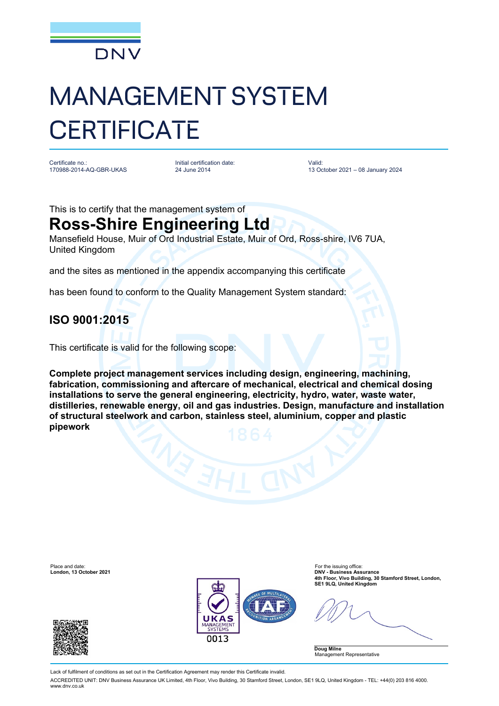

# MANAGEMENT SYSTEM **CERTIFICATE**

Certificate no.: 170988-2014-AQ-GBR-UKAS Initial certification date: 24 June 2014

Valid: 13 October 2021 – 08 January 2024

This is to certify that the management system of

## **Ross-Shire Engineering Ltd**

Mansefield House, Muir of Ord Industrial Estate, Muir of Ord, Ross-shire, IV6 7UA, United Kingdom

and the sites as mentioned in the appendix accompanying this certificate

has been found to conform to the Quality Management System standard:

### **ISO 9001:2015**

This certificate is valid for the following scope:

**Complete project management services including design, engineering, machining, fabrication, commissioning and aftercare of mechanical, electrical and chemical dosing installations to serve the general engineering, electricity, hydro, water, waste water, distilleries, renewable energy, oil and gas industries. Design, manufacture and installation of structural steelwork and carbon, stainless steel, aluminium, copper and plastic pipework**



**4th Floor, Vivo Building, 30 Stamford Street, London,** 

**Doug Milne** Management Representative

Lack of fulfilment of conditions as set out in the Certification Agreement may render this Certificate invalid.

ACCREDITED UNIT: DNV Business Assurance UK Limited, 4th Floor, Vivo Building, 30 Stamford Street, London, SE1 9LQ, United Kingdom - TEL: +44(0) 203 816 4000. www.dnv.co.uk